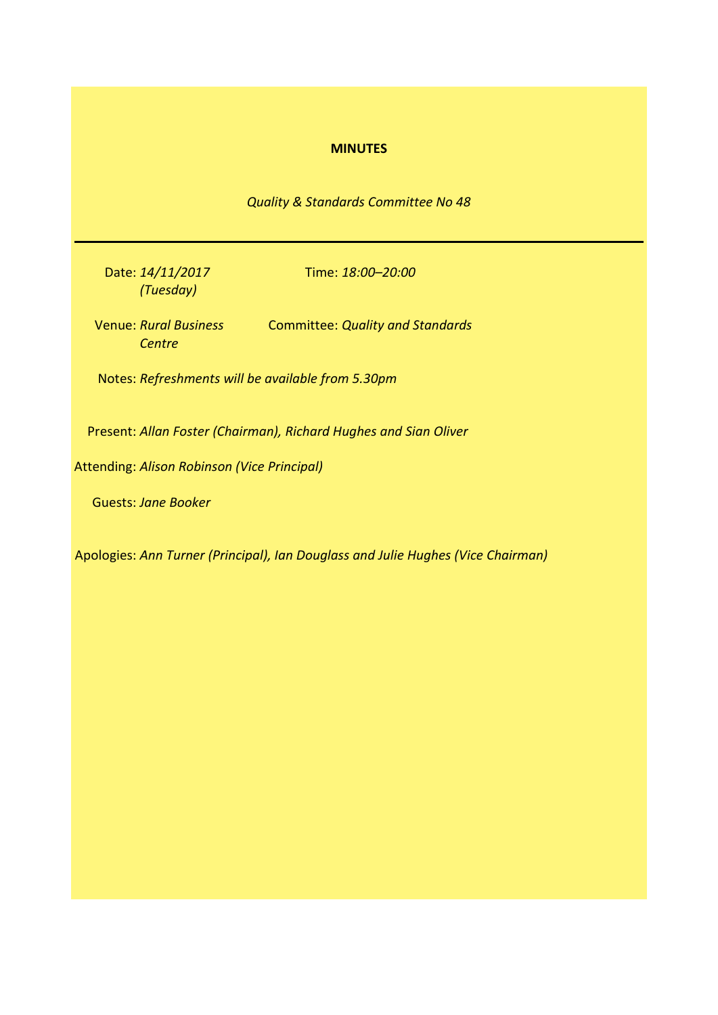## **MINUTES**

*Quality & Standards Committee No 48*

Date: *14/11/2017 (Tuesday)*

Time: *18:00–20:00*

Venue: *Rural Business*  Committee: *Quality and Standards Centre*

Notes: *Refreshments will be available from 5.30pm*

Present: *Allan Foster (Chairman), Richard Hughes and Sian Oliver*

Attending: *Alison Robinson (Vice Principal)*

Guests: *Jane Booker*

Apologies: *Ann Turner (Principal), Ian Douglass and Julie Hughes (Vice Chairman)*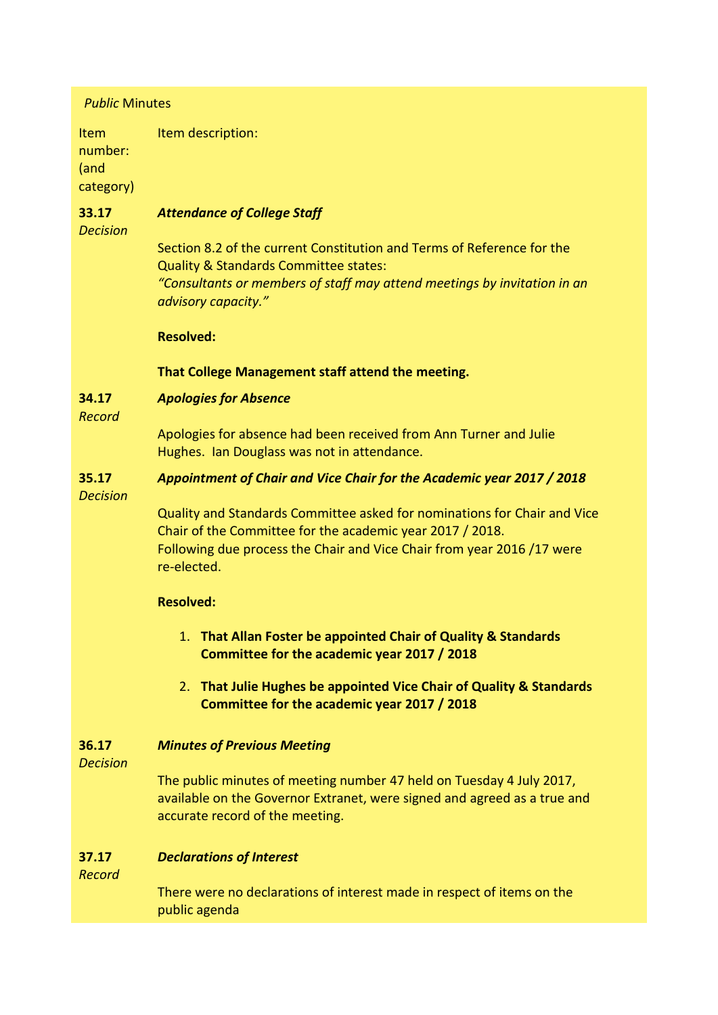# *Public* Minutes

Item number: (and category) Item description:

### **33.17** *Attendance of College Staff*

*Decision*

Section 8.2 of the current Constitution and Terms of Reference for the Quality & Standards Committee states: *"Consultants or members of staff may attend meetings by invitation in an advisory capacity."*

# **Resolved:**

**That College Management staff attend the meeting.**

### **34.17** *Apologies for Absence*

*Record*

Apologies for absence had been received from Ann Turner and Julie Hughes. Ian Douglass was not in attendance.

### **35.17** *Appointment of Chair and Vice Chair for the Academic year 2017 / 2018*

*Decision*

Quality and Standards Committee asked for nominations for Chair and Vice Chair of the Committee for the academic year 2017 / 2018. Following due process the Chair and Vice Chair from year 2016 /17 were re-elected.

# **Resolved:**

- 1. **That Allan Foster be appointed Chair of Quality & Standards Committee for the academic year 2017 / 2018**
- 2. **That Julie Hughes be appointed Vice Chair of Quality & Standards Committee for the academic year 2017 / 2018**

### **36.17** *Minutes of Previous Meeting*

*Decision*

The public minutes of meeting number 47 held on Tuesday 4 July 2017, available on the Governor Extranet, were signed and agreed as a true and accurate record of the meeting.

#### **37.17** *Declarations of Interest*

*Record*

There were no declarations of interest made in respect of items on the public agenda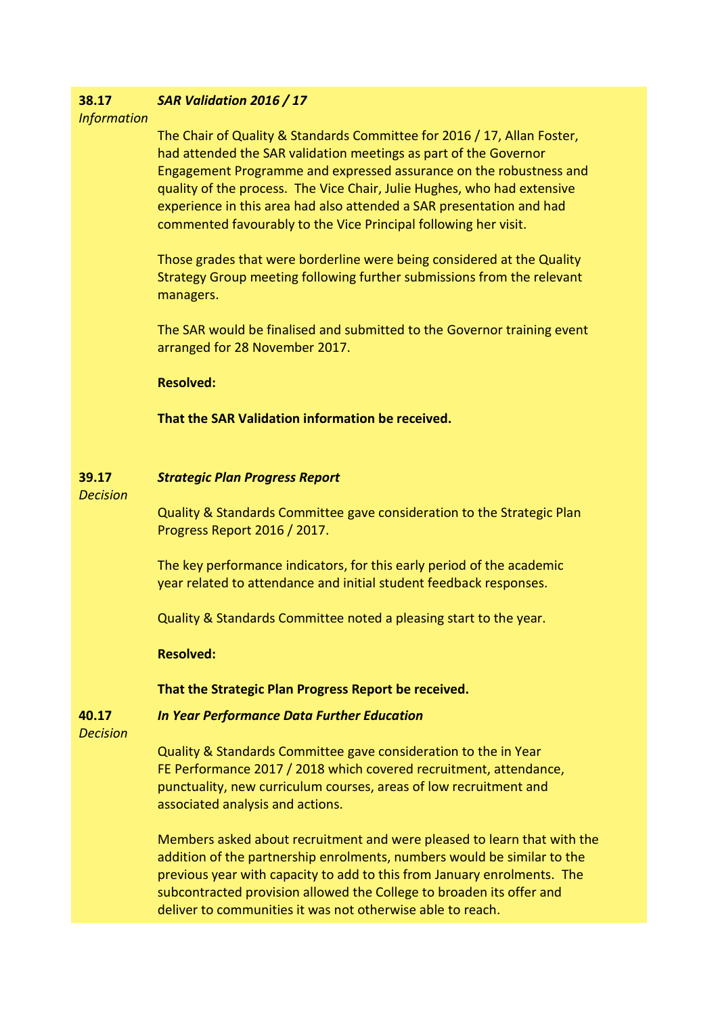### **38.17** *SAR Validation 2016 / 17*

*Information*

The Chair of Quality & Standards Committee for 2016 / 17, Allan Foster, had attended the SAR validation meetings as part of the Governor Engagement Programme and expressed assurance on the robustness and quality of the process. The Vice Chair, Julie Hughes, who had extensive experience in this area had also attended a SAR presentation and had commented favourably to the Vice Principal following her visit.

Those grades that were borderline were being considered at the Quality Strategy Group meeting following further submissions from the relevant managers.

The SAR would be finalised and submitted to the Governor training event arranged for 28 November 2017.

**Resolved:**

**That the SAR Validation information be received.**

#### **39.17** *Strategic Plan Progress Report*

*Decision*

Quality & Standards Committee gave consideration to the Strategic Plan Progress Report 2016 / 2017.

The key performance indicators, for this early period of the academic year related to attendance and initial student feedback responses.

Quality & Standards Committee noted a pleasing start to the year.

**Resolved:**

**That the Strategic Plan Progress Report be received.**

*In Year Performance Data Further Education*

**40.17** *Decision*

> Quality & Standards Committee gave consideration to the in Year FE Performance 2017 / 2018 which covered recruitment, attendance, punctuality, new curriculum courses, areas of low recruitment and associated analysis and actions.

Members asked about recruitment and were pleased to learn that with the addition of the partnership enrolments, numbers would be similar to the previous year with capacity to add to this from January enrolments. The subcontracted provision allowed the College to broaden its offer and deliver to communities it was not otherwise able to reach.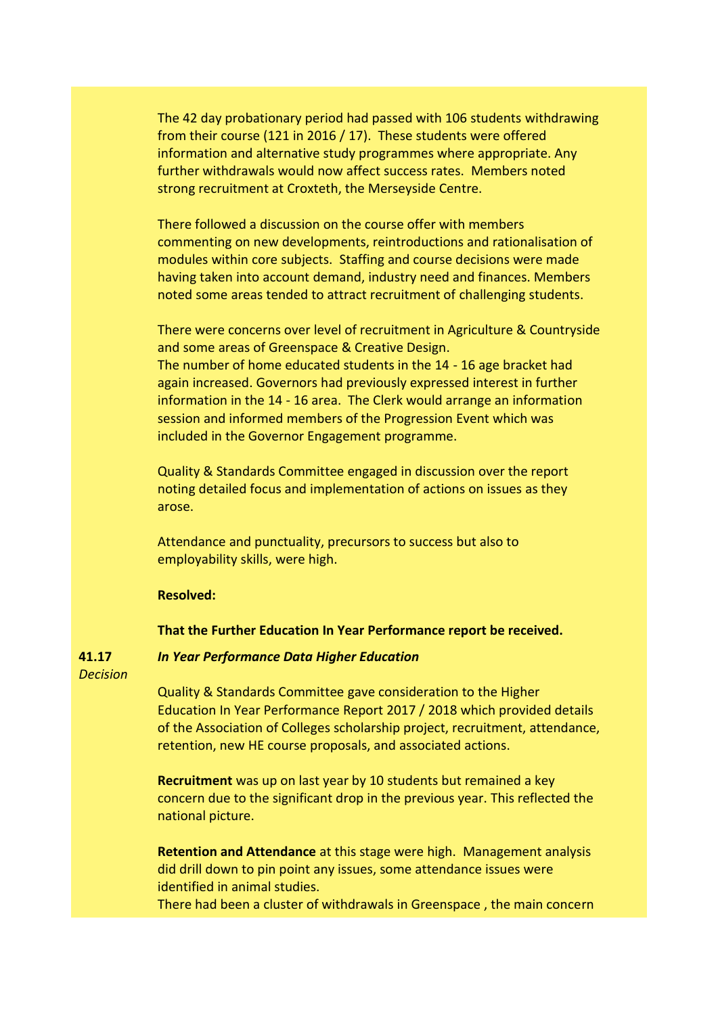The 42 day probationary period had passed with 106 students withdrawing from their course (121 in 2016 / 17). These students were offered information and alternative study programmes where appropriate. Any further withdrawals would now affect success rates. Members noted strong recruitment at Croxteth, the Merseyside Centre.

There followed a discussion on the course offer with members commenting on new developments, reintroductions and rationalisation of modules within core subjects. Staffing and course decisions were made having taken into account demand, industry need and finances. Members noted some areas tended to attract recruitment of challenging students.

There were concerns over level of recruitment in Agriculture & Countryside and some areas of Greenspace & Creative Design.

The number of home educated students in the 14 - 16 age bracket had again increased. Governors had previously expressed interest in further information in the 14 - 16 area. The Clerk would arrange an information session and informed members of the Progression Event which was included in the Governor Engagement programme.

Quality & Standards Committee engaged in discussion over the report noting detailed focus and implementation of actions on issues as they arose.

Attendance and punctuality, precursors to success but also to employability skills, were high.

# **Resolved:**

## **That the Further Education In Year Performance report be received.**

**41.17** *Decision*

# *In Year Performance Data Higher Education*

Quality & Standards Committee gave consideration to the Higher Education In Year Performance Report 2017 / 2018 which provided details of the Association of Colleges scholarship project, recruitment, attendance, retention, new HE course proposals, and associated actions.

**Recruitment** was up on last year by 10 students but remained a key concern due to the significant drop in the previous year. This reflected the national picture.

**Retention and Attendance** at this stage were high. Management analysis did drill down to pin point any issues, some attendance issues were identified in animal studies.

There had been a cluster of withdrawals in Greenspace , the main concern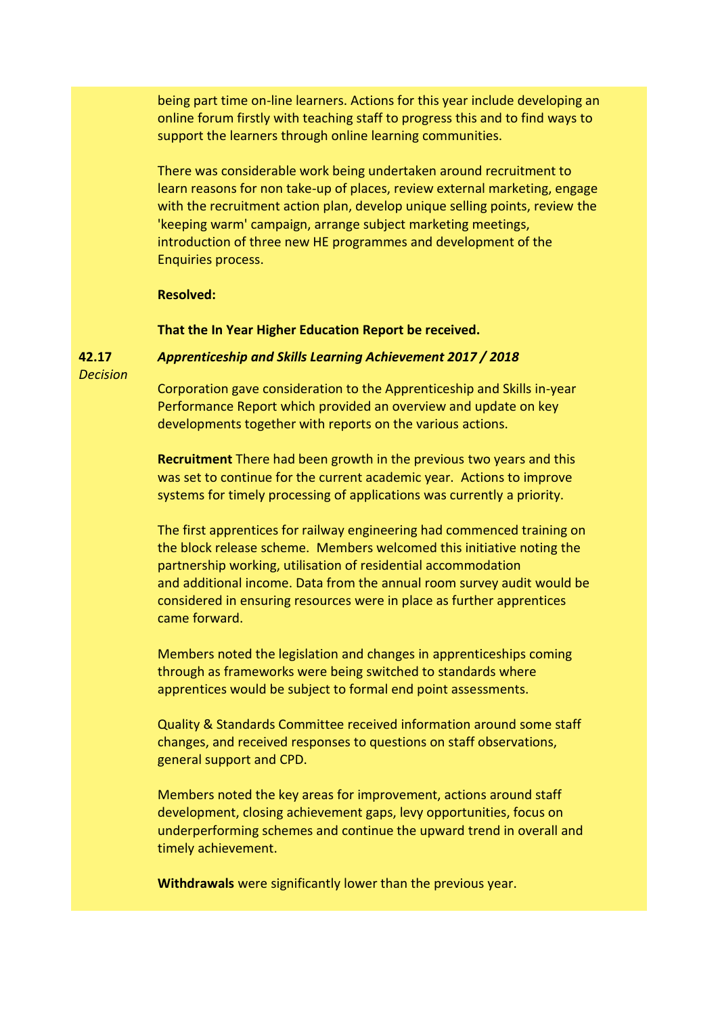being part time on-line learners. Actions for this year include developing an online forum firstly with teaching staff to progress this and to find ways to support the learners through online learning communities.

There was considerable work being undertaken around recruitment to learn reasons for non take-up of places, review external marketing, engage with the recruitment action plan, develop unique selling points, review the 'keeping warm' campaign, arrange subject marketing meetings, introduction of three new HE programmes and development of the Enquiries process.

## **Resolved:**

**That the In Year Higher Education Report be received.**

## *Apprenticeship and Skills Learning Achievement 2017 / 2018*

**42.17** *Decision*

> Corporation gave consideration to the Apprenticeship and Skills in-year Performance Report which provided an overview and update on key developments together with reports on the various actions.

> **Recruitment** There had been growth in the previous two years and this was set to continue for the current academic year. Actions to improve systems for timely processing of applications was currently a priority.

The first apprentices for railway engineering had commenced training on the block release scheme. Members welcomed this initiative noting the partnership working, utilisation of residential accommodation and additional income. Data from the annual room survey audit would be considered in ensuring resources were in place as further apprentices came forward.

Members noted the legislation and changes in apprenticeships coming through as frameworks were being switched to standards where apprentices would be subject to formal end point assessments.

Quality & Standards Committee received information around some staff changes, and received responses to questions on staff observations, general support and CPD.

Members noted the key areas for improvement, actions around staff development, closing achievement gaps, levy opportunities, focus on underperforming schemes and continue the upward trend in overall and timely achievement.

**Withdrawals** were significantly lower than the previous year.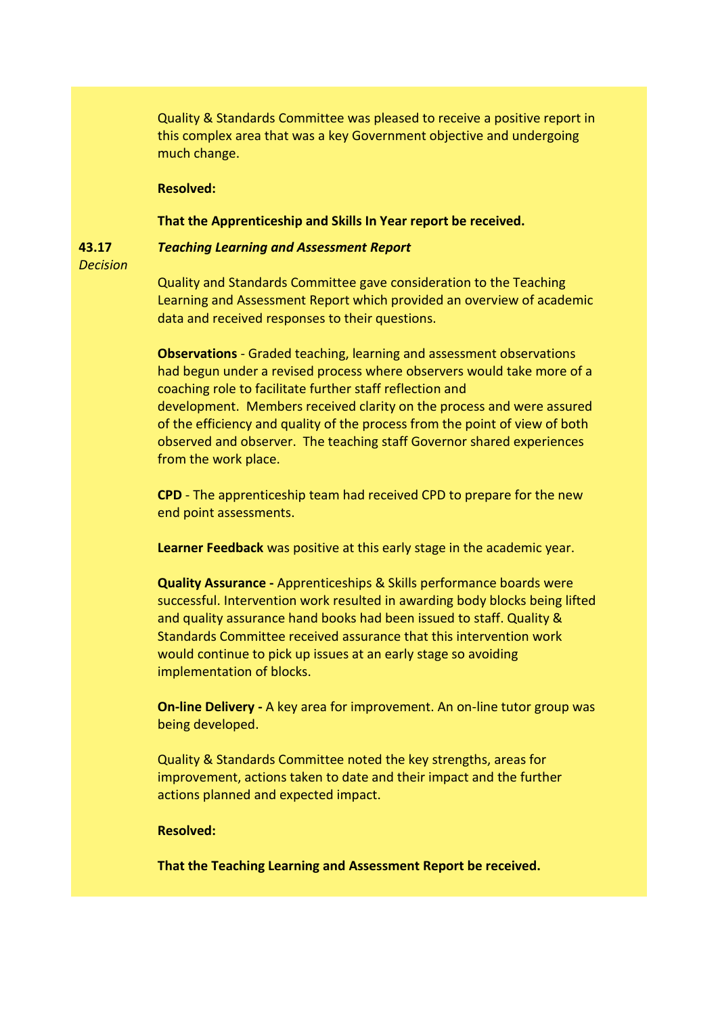Quality & Standards Committee was pleased to receive a positive report in this complex area that was a key Government objective and undergoing much change.

## **Resolved:**

## **That the Apprenticeship and Skills In Year report be received.**

#### **43.17** *Teaching Learning and Assessment Report*

*Decision*

Quality and Standards Committee gave consideration to the Teaching Learning and Assessment Report which provided an overview of academic data and received responses to their questions.

**Observations** - Graded teaching, learning and assessment observations had begun under a revised process where observers would take more of a coaching role to facilitate further staff reflection and development. Members received clarity on the process and were assured of the efficiency and quality of the process from the point of view of both observed and observer. The teaching staff Governor shared experiences from the work place.

**CPD** - The apprenticeship team had received CPD to prepare for the new end point assessments.

**Learner Feedback** was positive at this early stage in the academic year.

**Quality Assurance -** Apprenticeships & Skills performance boards were successful. Intervention work resulted in awarding body blocks being lifted and quality assurance hand books had been issued to staff. Quality & Standards Committee received assurance that this intervention work would continue to pick up issues at an early stage so avoiding implementation of blocks.

**On-line Delivery -** A key area for improvement. An on-line tutor group was being developed.

Quality & Standards Committee noted the key strengths, areas for improvement, actions taken to date and their impact and the further actions planned and expected impact.

## **Resolved:**

**That the Teaching Learning and Assessment Report be received.**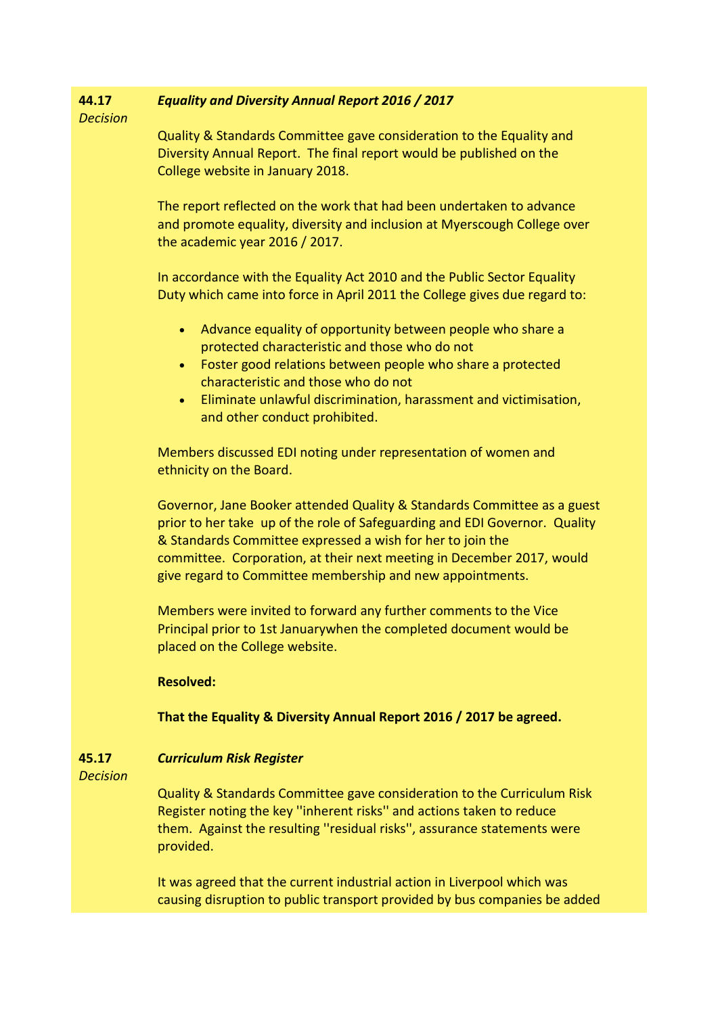#### **44.17** *Equality and Diversity Annual Report 2016 / 2017*

*Decision*

Quality & Standards Committee gave consideration to the Equality and Diversity Annual Report. The final report would be published on the College website in January 2018.

The report reflected on the work that had been undertaken to advance and promote equality, diversity and inclusion at Myerscough College over the academic year 2016 / 2017.

In accordance with the Equality Act 2010 and the Public Sector Equality Duty which came into force in April 2011 the College gives due regard to:

- Advance equality of opportunity between people who share a protected characteristic and those who do not
- Foster good relations between people who share a protected characteristic and those who do not
- Eliminate unlawful discrimination, harassment and victimisation, and other conduct prohibited.

Members discussed EDI noting under representation of women and ethnicity on the Board.

Governor, Jane Booker attended Quality & Standards Committee as a guest prior to her take up of the role of Safeguarding and EDI Governor. Quality & Standards Committee expressed a wish for her to join the committee. Corporation, at their next meeting in December 2017, would give regard to Committee membership and new appointments.

Members were invited to forward any further comments to the Vice Principal prior to 1st Januarywhen the completed document would be placed on the College website.

**Resolved:**

**That the Equality & Diversity Annual Report 2016 / 2017 be agreed.**

#### **45.17** *Curriculum Risk Register*

*Decision*

Quality & Standards Committee gave consideration to the Curriculum Risk Register noting the key ''inherent risks'' and actions taken to reduce them. Against the resulting ''residual risks'', assurance statements were provided.

It was agreed that the current industrial action in Liverpool which was causing disruption to public transport provided by bus companies be added